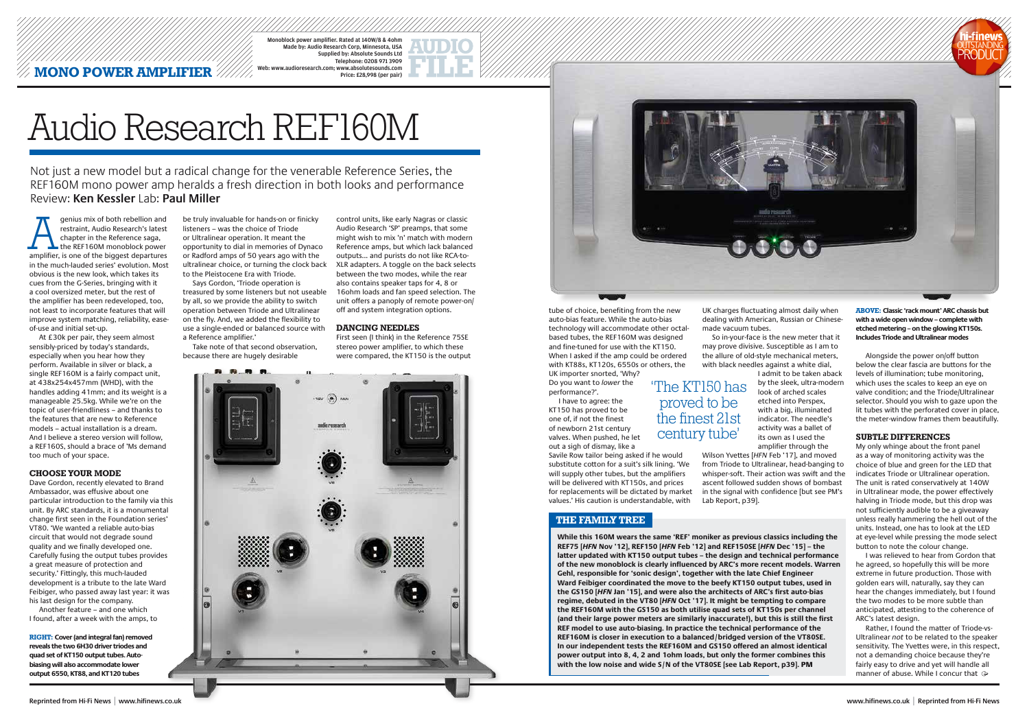**MONO POWER AMPLIFIER** Monoblock power amplifier. Rated at 140W/8 & 4ohm Made by: Audio Research Corp, Minnesota, USA Supplied by: Absolute Sounds Ltd Telephone: 0208 971 3909 Web: www.audioresearch.com; www.absolutesounds.com Price: £28,998 (per pair)

genius mix of both rebellion and restraint, Audio Research's latest chapter in the Reference saga, the REF160M monoblock power amplifier, is one of the biggest departures in the much-lauded series' evolution. Most obvious is the new look, which takes its cues from the G-Series, bringing with it a cool oversized meter, but the rest of the amplifier has been redeveloped, too, not least to incorporate features that will improve system matching, reliability, easeof-use and initial set-up.

At £30k per pair, they seem almost sensibly-priced by today's standards, especially when you hear how they perform. Available in silver or black, a single REF160M is a fairly compact unit, at 438x254x457mm (WHD), with the handles adding 41mm; and its weight is a manageable 25.5kg. While we're on the topic of user-friendliness – and thanks to the features that are new to Reference models – actual installation is a dream. And I believe a stereo version will follow, a REF160S, should a brace of 'Ms demand too much of your space.

#### **CHOOSE YOUR MODE**

Dave Gordon, recently elevated to Brand Ambassador, was effusive about one particular introduction to the family via this unit. By ARC standards, it is a monumental change first seen in the Foundation series' VT80. 'We wanted a reliable auto-bias circuit that would not degrade sound quality and we finally developed one. Carefully fusing the output tubes provides a great measure of protection and security.' Fittingly, this much-lauded development is a tribute to the late Ward Feibiger, who passed away last year: it was his last design for the company.

Another feature – and one which I found, after a week with the amps, to were compared, the KT150 is the output **Alter and State Alongside the amp could** be ordered the allure of old-style mechanical meters, Alongside the power on/off button So in-your-face is the new meter that it may prove divisive. Susceptible as I am to the allure of old-style mechanical meters, with black needles against a white dial, I admit to be taken aback by the sleek, ultra-modern look of arched scales etched into Perspex, with a big, illuminated indicator. The needle's activity was a ballet of its own as I used the amplifier through the Wilson Yvettes [*HFN* Feb '17], and moved from Triode to Ultralinear, head-banging to whisper-soft. Their action was swift and the ascent followed sudden shows of bombast in the signal with confidence [but see PM's

be truly invaluable for hands-on or finicky listeners – was the choice of Triode or Ultralinear operation. It meant the opportunity to dial in memories of Dynaco or Radford amps of 50 years ago with the ultralinear choice, or turning the clock back to the Pleistocene Era with Triode.

Says Gordon, 'Triode operation is treasured by some listeners but not useable by all, so we provide the ability to switch operation between Triode and Ultralinear on the fly. And, we added the flexibility to use a single-ended or balanced source with a Reference amplifier.'

Take note of that second observation, because there are hugely desirable

tube of choice, benefiting from the new auto-bias feature. While the auto-bias technology will accommodate other octalbased tubes, the REF160M was designed and fine-tuned for use with the KT150. with KT88s, KT120s, 6550s or others, the UK importer snorted, 'Why? Do you want to *lower* the performance?'.

> Rather, I found the matter of Triode-vs-Ultralinear *not* to be related to the speaker sensitivity. The Yvettes were, in this respect, not a demanding choice because they're fairly easy to drive and yet will handle all manner of abuse. While I concur that  $\ominus$

I have to agree: the KT150 has proved to be one of, if not the finest of newborn 21st century valves. When pushed, he let out a sigh of dismay, like a

Savile Row tailor being asked if he would substitute cotton for a suit's silk lining. 'We will supply other tubes, but the amplifiers will be delivered with KT150s, and prices for replacements will be dictated by market values.' His caution is understandable, with

UK charges fluctuating almost daily when dealing with American, Russian or Chinesemade vacuum tubes.

Lab Report, p39].

control units, like early Nagras or classic Audio Research 'SP' preamps, that some might wish to mix 'n' match with modern Reference amps, but which lack balanced outputs... and purists do not like RCA-to-XLR adapters. A toggle on the back selects between the two modes, while the rear also contains speaker taps for 4, 8 or 16ohm loads and fan speed selection. The unit offers a panoply of remote power-on/ off and system integration options.

#### **DANCING NEEDLES**

First seen (I think) in the Reference 75SE stereo power amplifier, to which these





below the clear fascia are buttons for the levels of illumination; tube monitoring, which uses the scales to keep an eye on valve condition; and the Triode/Ultralinear selector. Should you wish to gaze upon the lit tubes with the perforated cover in place, the meter-window frames them beautifully.

#### **SUBTLE DIFFERENCES**

My only whinge about the front panel as a way of monitoring activity was the choice of blue and green for the LED that indicates Triode or Ultralinear operation. The unit is rated conservatively at 140W in Ultralinear mode, the power effectively halving in Triode mode, but this drop was not sufficiently audible to be a giveaway unless really hammering the hell out of the units. Instead, one has to look at the LED at eye-level while pressing the mode select button to note the colour change.

I was relieved to hear from Gordon that he agreed, so hopefully this will be more extreme in future production. Those with golden ears will, naturally, say they can hear the changes immediately, but I found the two modes to be more subtle than anticipated, attesting to the coherence of ARC's latest design.

**ABOVE: Classic 'rack mount' ARC chassis but with a wide open window – complete with etched metering – on the glowing KT150s. Includes Triode and Ultralinear modes**

**RIGHT: Cover (and integral fan) removed reveals the two 6H30 driver triodes and quad set of KT150 output tubes. Autobiasing will also accommodate lower output 6550, KT88, and KT120 tubes**

'The KT150 has proved to be the finest 21st century tube'

Not just a new model but a radical change for the venerable Reference Series, the REF160M mono power amp heralds a fresh direction in both looks and performance Review: **Ken Kessler** Lab: **Paul Miller**

# Audio Research REF160M

# **THE FAMILY TREE**

**While this 160M wears the same 'REF' moniker as previous classics including the REF75 [***HFN* **Nov '12], REF150 [***HFN* **Feb '12] and REF150SE [***HFN* **Dec '15] – the latter updated with KT150 output tubes – the design and technical performance of the new monoblock is clearly influenced by ARC's more recent models. Warren Gehl, responsible for 'sonic design', together with the late Chief Engineer Ward Feibiger coordinated the move to the beefy KT150 output tubes, used in the GS150 [***HFN* **Jan '15], and were also the architects of ARC's first auto-bias regime, debuted in the VT80 [***HFN* **Oct '17]. It might be tempting to compare the REF160M with the GS150 as both utilise quad sets of KT150s per channel (and their large power meters are similarly inaccurate!), but this is still the first REF model to use auto-biasing. In practice the technical performance of the REF160M is closer in execution to a balanced/bridged version of the VT80SE. In our independent tests the REF160M and GS150 offered an almost identical power output into 8, 4, 2 and 1ohm loads, but only the former combines this with the low noise and wide S/N of the VT80SE [see Lab Report, p39].** PM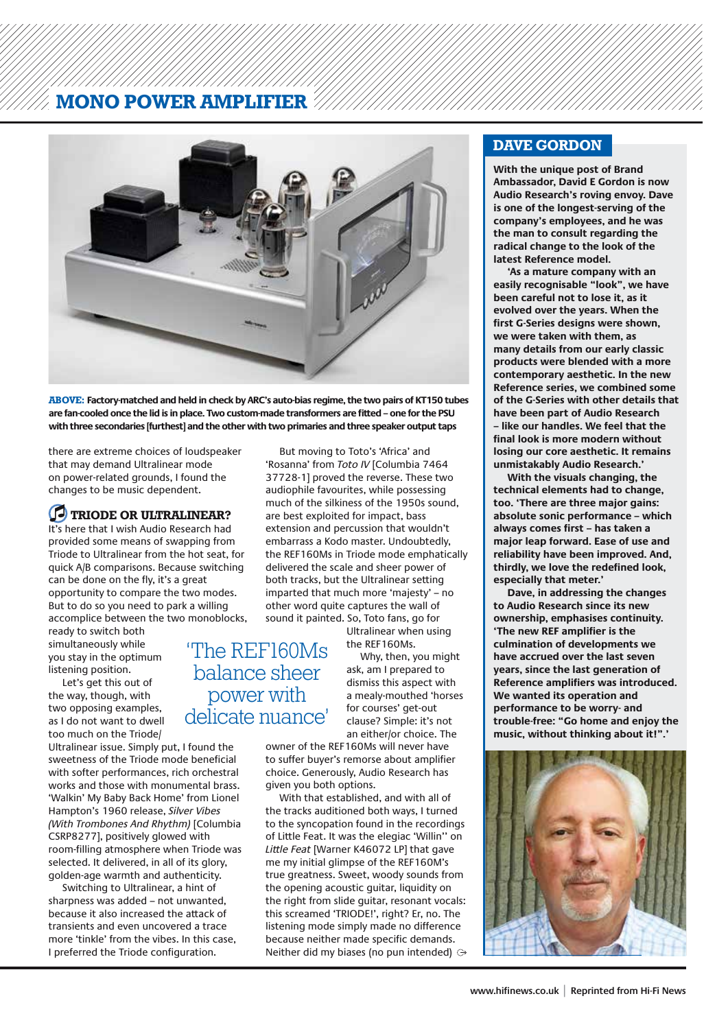# **MONO POWER AMPLIFIER**



**ABOVE: Factory-matched and held in check by ARC's auto-bias regime, the two pairs of KT150 tubes are fan-cooled once the lid is in place. Two custom-made transformers are fitted – one for the PSU with three secondaries [furthest] and the other with two primaries and three speaker output taps**

there are extreme choices of loudspeaker that may demand Ultralinear mode on power-related grounds, I found the changes to be music dependent.

## *C* TRIODE OR ULTRALINEAR?

It's here that I wish Audio Research had provided some means of swapping from Triode to Ultralinear from the hot seat, for quick A/B comparisons. Because switching can be done on the fly, it's a great opportunity to compare the two modes. But to do so you need to park a willing accomplice between the two monoblocks,

ready to switch both simultaneously while you stay in the optimum listening position.

Let's get this out of the way, though, with two opposing examples, as I do not want to dwell too much on the Triode/

Ultralinear issue. Simply put, I found the sweetness of the Triode mode beneficial with softer performances, rich orchestral works and those with monumental brass. 'Walkin' My Baby Back Home' from Lionel Hampton's 1960 release, *Silver Vibes (With Trombones And Rhythm)* [Columbia CSRP8277], positively glowed with room-filling atmosphere when Triode was selected. It delivered, in all of its glory, golden-age warmth and authenticity.

Switching to Ultralinear, a hint of sharpness was added – not unwanted, because it also increased the attack of transients and even uncovered a trace more 'tinkle' from the vibes. In this case, I preferred the Triode configuration.

But moving to Toto's 'Africa' and 'Rosanna' from *Toto IV* [Columbia 7464 37728-1] proved the reverse. These two audiophile favourites, while possessing much of the silkiness of the 1950s sound, are best exploited for impact, bass extension and percussion that wouldn't embarrass a Kodo master. Undoubtedly, the REF160Ms in Triode mode emphatically delivered the scale and sheer power of both tracks, but the Ultralinear setting imparted that much more 'majesty' – no other word quite captures the wall of sound it painted. So, Toto fans, go for

Ultralinear when using the REF160Ms.

Why, then, you might ask, am I prepared to dismiss this aspect with a mealy-mouthed 'horses for courses' get-out clause? Simple: it's not an either/or choice. The 'The REF160Ms balance sheer power with delicate nuance'

> owner of the REF160Ms will never have to suffer buyer's remorse about amplifier choice. Generously, Audio Research has given you both options.

With that established, and with all of the tracks auditioned both ways, I turned to the syncopation found in the recordings of Little Feat. It was the elegiac 'Willin'' on *Little Feat* [Warner K46072 LP] that gave me my initial glimpse of the REF160M's true greatness. Sweet, woody sounds from the opening acoustic guitar, liquidity on the right from slide guitar, resonant vocals: this screamed 'TRIODE!', right? Er, no. The listening mode simply made no difference because neither made specific demands. Neither did my biases (no pun intended)

## **DAVE GORDON**

**With the unique post of Brand Ambassador, David E Gordon is now Audio Research's roving envoy. Dave is one of the longest-serving of the company's employees, and he was the man to consult regarding the radical change to the look of the latest Reference model.**

**'As a mature company with an easily recognisable "look", we have been careful not to lose it, as it evolved over the years. When the first G-Series designs were shown, we were taken with them, as many details from our early classic products were blended with a more contemporary aesthetic. In the new Reference series, we combined some of the G-Series with other details that have been part of Audio Research – like our handles. We feel that the final look is more modern without losing our core aesthetic. It remains unmistakably Audio Research.'**

**With the visuals changing, the technical elements had to change, too. 'There are three major gains: absolute sonic performance – which always comes first – has taken a major leap forward. Ease of use and reliability have been improved. And, thirdly, we love the redefined look, especially that meter.'** 

**Dave, in addressing the changes to Audio Research since its new ownership, emphasises continuity. 'The new REF amplifier is the culmination of developments we have accrued over the last seven years, since the last generation of Reference amplifiers was introduced. We wanted its operation and performance to be worry- and trouble-free: "Go home and enjoy the music, without thinking about it!".'**